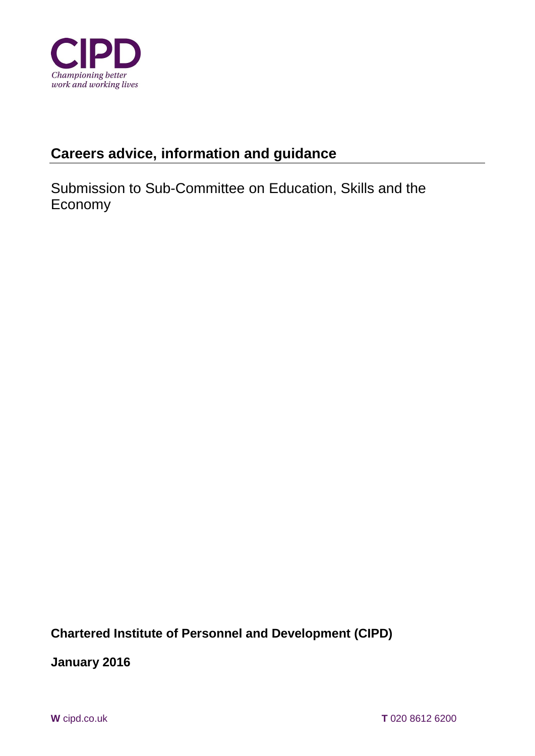

# **Careers advice, information and guidance**

Submission to Sub-Committee on Education, Skills and the Economy

**Chartered Institute of Personnel and Development (CIPD)** 

**January 2016**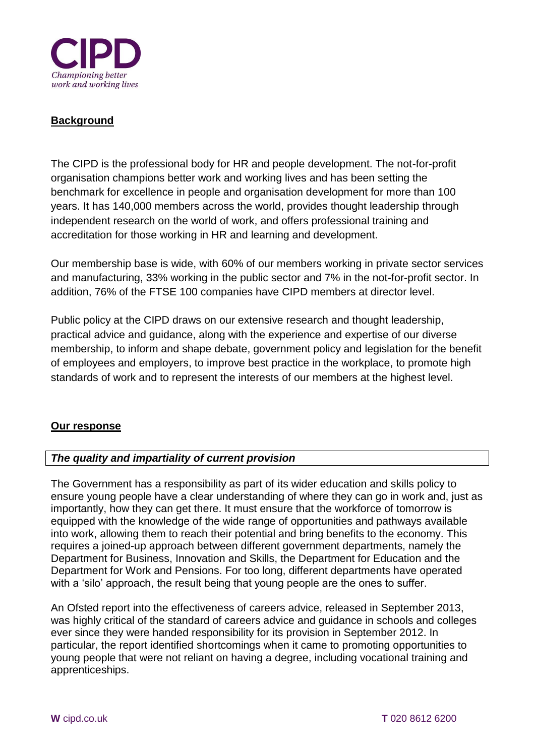

# **Background**

The CIPD is the professional body for HR and people development. The not-for-profit organisation champions better work and working lives and has been setting the benchmark for excellence in people and organisation development for more than 100 years. It has 140,000 members across the world, provides thought leadership through independent research on the world of work, and offers professional training and accreditation for those working in HR and learning and development.

Our membership base is wide, with 60% of our members working in private sector services and manufacturing, 33% working in the public sector and 7% in the not-for-profit sector. In addition, 76% of the FTSE 100 companies have CIPD members at director level.

Public policy at the CIPD draws on our extensive research and thought leadership, practical advice and guidance, along with the experience and expertise of our diverse membership, to inform and shape debate, government policy and legislation for the benefit of employees and employers, to improve best practice in the workplace, to promote high standards of work and to represent the interests of our members at the highest level.

## **Our response**

## *The quality and impartiality of current provision*

The Government has a responsibility as part of its wider education and skills policy to ensure young people have a clear understanding of where they can go in work and, just as importantly, how they can get there. It must ensure that the workforce of tomorrow is equipped with the knowledge of the wide range of opportunities and pathways available into work, allowing them to reach their potential and bring benefits to the economy. This requires a joined-up approach between different government departments, namely the Department for Business, Innovation and Skills, the Department for Education and the Department for Work and Pensions. For too long, different departments have operated with a 'silo' approach, the result being that young people are the ones to suffer.

An Ofsted report into the effectiveness of careers advice, released in September 2013, was highly critical of the standard of careers advice and guidance in schools and colleges ever since they were handed responsibility for its provision in September 2012. In particular, the report identified shortcomings when it came to promoting opportunities to young people that were not reliant on having a degree, including vocational training and apprenticeships.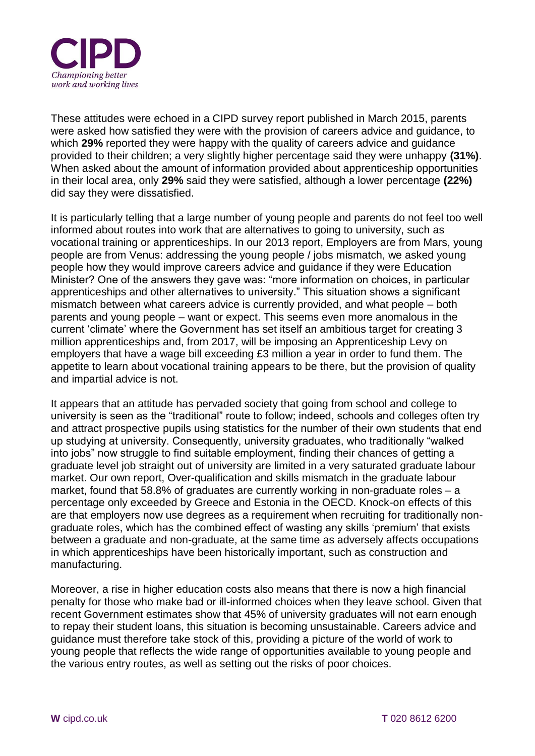

These attitudes were echoed in a CIPD survey report published in March 2015, parents were asked how satisfied they were with the provision of careers advice and guidance, to which **29%** reported they were happy with the quality of careers advice and guidance provided to their children; a very slightly higher percentage said they were unhappy **(31%)**. When asked about the amount of information provided about apprenticeship opportunities in their local area, only **29%** said they were satisfied, although a lower percentage **(22%)** did say they were dissatisfied.

It is particularly telling that a large number of young people and parents do not feel too well informed about routes into work that are alternatives to going to university, such as vocational training or apprenticeships. In our 2013 report, Employers are from Mars, young people are from Venus: addressing the young people / jobs mismatch, we asked young people how they would improve careers advice and guidance if they were Education Minister? One of the answers they gave was: "more information on choices, in particular apprenticeships and other alternatives to university." This situation shows a significant mismatch between what careers advice is currently provided, and what people – both parents and young people – want or expect. This seems even more anomalous in the current 'climate' where the Government has set itself an ambitious target for creating 3 million apprenticeships and, from 2017, will be imposing an Apprenticeship Levy on employers that have a wage bill exceeding £3 million a year in order to fund them. The appetite to learn about vocational training appears to be there, but the provision of quality and impartial advice is not.

It appears that an attitude has pervaded society that going from school and college to university is seen as the "traditional" route to follow; indeed, schools and colleges often try and attract prospective pupils using statistics for the number of their own students that end up studying at university. Consequently, university graduates, who traditionally "walked into jobs" now struggle to find suitable employment, finding their chances of getting a graduate level job straight out of university are limited in a very saturated graduate labour market. Our own report, Over-qualification and skills mismatch in the graduate labour market, found that 58.8% of graduates are currently working in non-graduate roles – a percentage only exceeded by Greece and Estonia in the OECD. Knock-on effects of this are that employers now use degrees as a requirement when recruiting for traditionally nongraduate roles, which has the combined effect of wasting any skills 'premium' that exists between a graduate and non-graduate, at the same time as adversely affects occupations in which apprenticeships have been historically important, such as construction and manufacturing.

Moreover, a rise in higher education costs also means that there is now a high financial penalty for those who make bad or ill-informed choices when they leave school. Given that recent Government estimates show that 45% of university graduates will not earn enough to repay their student loans, this situation is becoming unsustainable. Careers advice and guidance must therefore take stock of this, providing a picture of the world of work to young people that reflects the wide range of opportunities available to young people and the various entry routes, as well as setting out the risks of poor choices.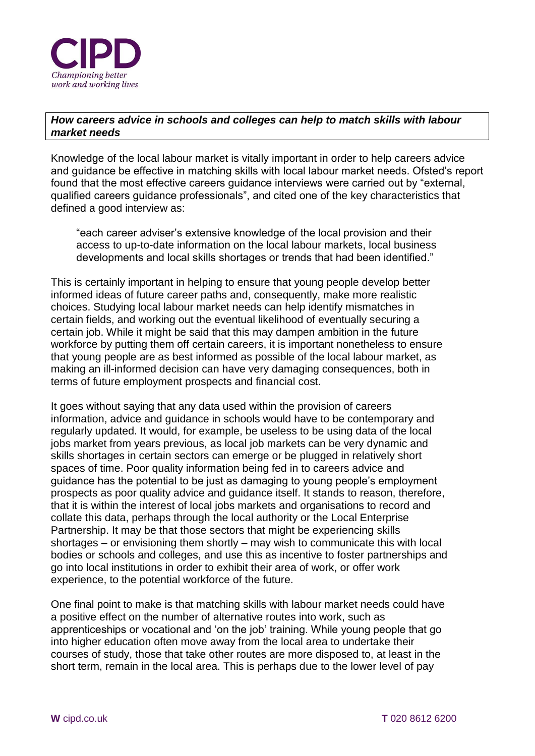

## *How careers advice in schools and colleges can help to match skills with labour market needs*

Knowledge of the local labour market is vitally important in order to help careers advice and guidance be effective in matching skills with local labour market needs. Ofsted's report found that the most effective careers guidance interviews were carried out by "external, qualified careers guidance professionals", and cited one of the key characteristics that defined a good interview as:

"each career adviser's extensive knowledge of the local provision and their access to up-to-date information on the local labour markets, local business developments and local skills shortages or trends that had been identified."

This is certainly important in helping to ensure that young people develop better informed ideas of future career paths and, consequently, make more realistic choices. Studying local labour market needs can help identify mismatches in certain fields, and working out the eventual likelihood of eventually securing a certain job. While it might be said that this may dampen ambition in the future workforce by putting them off certain careers, it is important nonetheless to ensure that young people are as best informed as possible of the local labour market, as making an ill-informed decision can have very damaging consequences, both in terms of future employment prospects and financial cost.

It goes without saying that any data used within the provision of careers information, advice and guidance in schools would have to be contemporary and regularly updated. It would, for example, be useless to be using data of the local jobs market from years previous, as local job markets can be very dynamic and skills shortages in certain sectors can emerge or be plugged in relatively short spaces of time. Poor quality information being fed in to careers advice and guidance has the potential to be just as damaging to young people's employment prospects as poor quality advice and guidance itself. It stands to reason, therefore, that it is within the interest of local jobs markets and organisations to record and collate this data, perhaps through the local authority or the Local Enterprise Partnership. It may be that those sectors that might be experiencing skills shortages – or envisioning them shortly – may wish to communicate this with local bodies or schools and colleges, and use this as incentive to foster partnerships and go into local institutions in order to exhibit their area of work, or offer work experience, to the potential workforce of the future.

One final point to make is that matching skills with labour market needs could have a positive effect on the number of alternative routes into work, such as apprenticeships or vocational and 'on the job' training. While young people that go into higher education often move away from the local area to undertake their courses of study, those that take other routes are more disposed to, at least in the short term, remain in the local area. This is perhaps due to the lower level of pay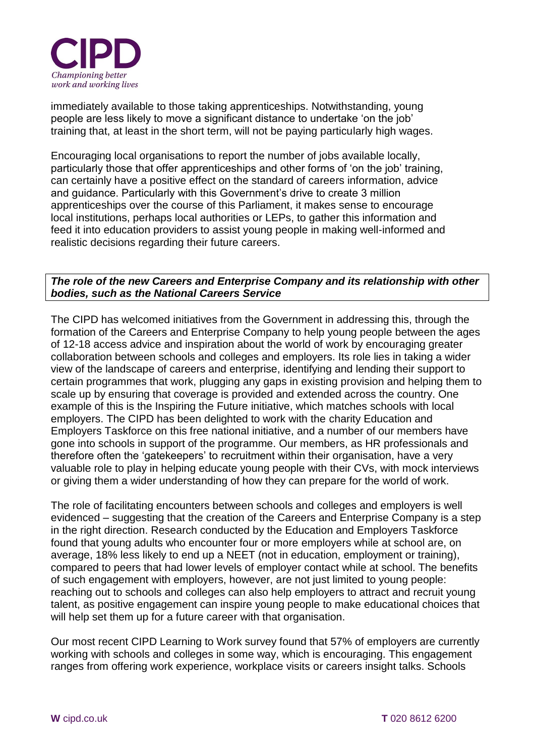

immediately available to those taking apprenticeships. Notwithstanding, young people are less likely to move a significant distance to undertake 'on the job' training that, at least in the short term, will not be paying particularly high wages.

Encouraging local organisations to report the number of jobs available locally, particularly those that offer apprenticeships and other forms of 'on the job' training, can certainly have a positive effect on the standard of careers information, advice and guidance. Particularly with this Government's drive to create 3 million apprenticeships over the course of this Parliament, it makes sense to encourage local institutions, perhaps local authorities or LEPs, to gather this information and feed it into education providers to assist young people in making well-informed and realistic decisions regarding their future careers.

## *The role of the new Careers and Enterprise Company and its relationship with other bodies, such as the National Careers Service*

The CIPD has welcomed initiatives from the Government in addressing this, through the formation of the Careers and Enterprise Company to help young people between the ages of 12-18 access advice and inspiration about the world of work by encouraging greater collaboration between schools and colleges and employers. Its role lies in taking a wider view of the landscape of careers and enterprise, identifying and lending their support to certain programmes that work, plugging any gaps in existing provision and helping them to scale up by ensuring that coverage is provided and extended across the country. One example of this is the Inspiring the Future initiative, which matches schools with local employers. The CIPD has been delighted to work with the charity Education and Employers Taskforce on this free national initiative, and a number of our members have gone into schools in support of the programme. Our members, as HR professionals and therefore often the 'gatekeepers' to recruitment within their organisation, have a very valuable role to play in helping educate young people with their CVs, with mock interviews or giving them a wider understanding of how they can prepare for the world of work.

The role of facilitating encounters between schools and colleges and employers is well evidenced – suggesting that the creation of the Careers and Enterprise Company is a step in the right direction. Research conducted by the Education and Employers Taskforce found that young adults who encounter four or more employers while at school are, on average, 18% less likely to end up a NEET (not in education, employment or training), compared to peers that had lower levels of employer contact while at school. The benefits of such engagement with employers, however, are not just limited to young people: reaching out to schools and colleges can also help employers to attract and recruit young talent, as positive engagement can inspire young people to make educational choices that will help set them up for a future career with that organisation.

Our most recent CIPD Learning to Work survey found that 57% of employers are currently working with schools and colleges in some way, which is encouraging. This engagement ranges from offering work experience, workplace visits or careers insight talks. Schools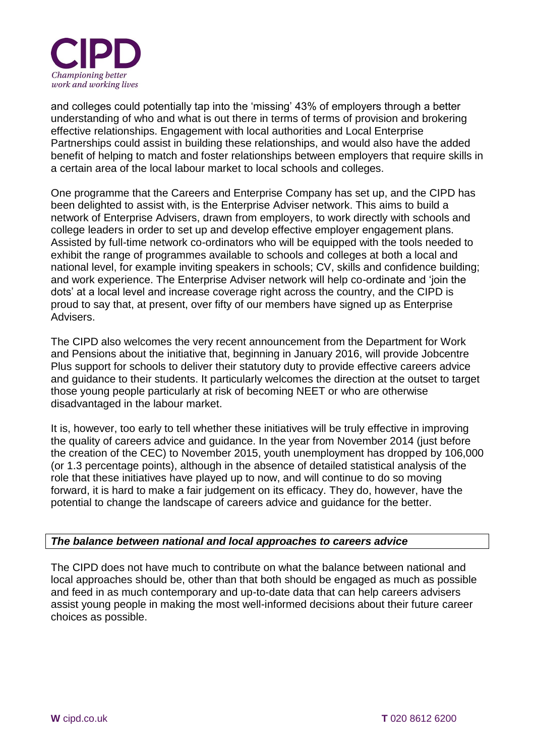

and colleges could potentially tap into the 'missing' 43% of employers through a better understanding of who and what is out there in terms of terms of provision and brokering effective relationships. Engagement with local authorities and Local Enterprise Partnerships could assist in building these relationships, and would also have the added benefit of helping to match and foster relationships between employers that require skills in a certain area of the local labour market to local schools and colleges.

One programme that the Careers and Enterprise Company has set up, and the CIPD has been delighted to assist with, is the Enterprise Adviser network. This aims to build a network of Enterprise Advisers, drawn from employers, to work directly with schools and college leaders in order to set up and develop effective employer engagement plans. Assisted by full-time network co-ordinators who will be equipped with the tools needed to exhibit the range of programmes available to schools and colleges at both a local and national level, for example inviting speakers in schools; CV, skills and confidence building; and work experience. The Enterprise Adviser network will help co-ordinate and 'join the dots' at a local level and increase coverage right across the country, and the CIPD is proud to say that, at present, over fifty of our members have signed up as Enterprise Advisers.

The CIPD also welcomes the very recent announcement from the Department for Work and Pensions about the initiative that, beginning in January 2016, will provide Jobcentre Plus support for schools to deliver their statutory duty to provide effective careers advice and guidance to their students. It particularly welcomes the direction at the outset to target those young people particularly at risk of becoming NEET or who are otherwise disadvantaged in the labour market.

It is, however, too early to tell whether these initiatives will be truly effective in improving the quality of careers advice and quidance. In the year from November 2014 (just before the creation of the CEC) to November 2015, youth unemployment has dropped by 106,000 (or 1.3 percentage points), although in the absence of detailed statistical analysis of the role that these initiatives have played up to now, and will continue to do so moving forward, it is hard to make a fair judgement on its efficacy. They do, however, have the potential to change the landscape of careers advice and guidance for the better.

## *The balance between national and local approaches to careers advice*

The CIPD does not have much to contribute on what the balance between national and local approaches should be, other than that both should be engaged as much as possible and feed in as much contemporary and up-to-date data that can help careers advisers assist young people in making the most well-informed decisions about their future career choices as possible.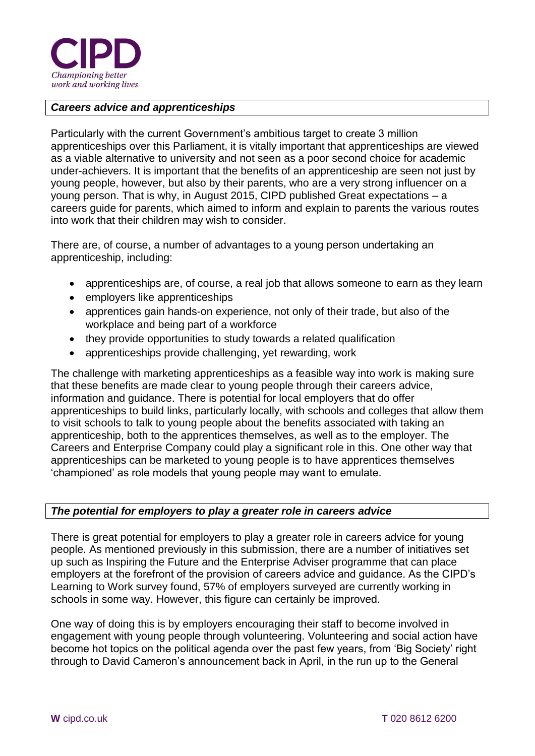

#### *Careers advice and apprenticeships*

Particularly with the current Government's ambitious target to create 3 million apprenticeships over this Parliament, it is vitally important that apprenticeships are viewed as a viable alternative to university and not seen as a poor second choice for academic under-achievers. It is important that the benefits of an apprenticeship are seen not just by young people, however, but also by their parents, who are a very strong influencer on a young person. That is why, in August 2015, CIPD published Great expectations – a careers guide for parents, which aimed to inform and explain to parents the various routes into work that their children may wish to consider.

There are, of course, a number of advantages to a young person undertaking an apprenticeship, including:

- apprenticeships are, of course, a real job that allows someone to earn as they learn
- employers like apprenticeships
- apprentices gain hands-on experience, not only of their trade, but also of the workplace and being part of a workforce
- they provide opportunities to study towards a related qualification
- apprenticeships provide challenging, yet rewarding, work

The challenge with marketing apprenticeships as a feasible way into work is making sure that these benefits are made clear to young people through their careers advice, information and guidance. There is potential for local employers that do offer apprenticeships to build links, particularly locally, with schools and colleges that allow them to visit schools to talk to young people about the benefits associated with taking an apprenticeship, both to the apprentices themselves, as well as to the employer. The Careers and Enterprise Company could play a significant role in this. One other way that apprenticeships can be marketed to young people is to have apprentices themselves 'championed' as role models that young people may want to emulate.

#### *The potential for employers to play a greater role in careers advice*

There is great potential for employers to play a greater role in careers advice for young people. As mentioned previously in this submission, there are a number of initiatives set up such as Inspiring the Future and the Enterprise Adviser programme that can place employers at the forefront of the provision of careers advice and guidance. As the CIPD's Learning to Work survey found, 57% of employers surveyed are currently working in schools in some way. However, this figure can certainly be improved.

One way of doing this is by employers encouraging their staff to become involved in engagement with young people through volunteering. Volunteering and social action have become hot topics on the political agenda over the past few years, from 'Big Society' right through to David Cameron's announcement back in April, in the run up to the General